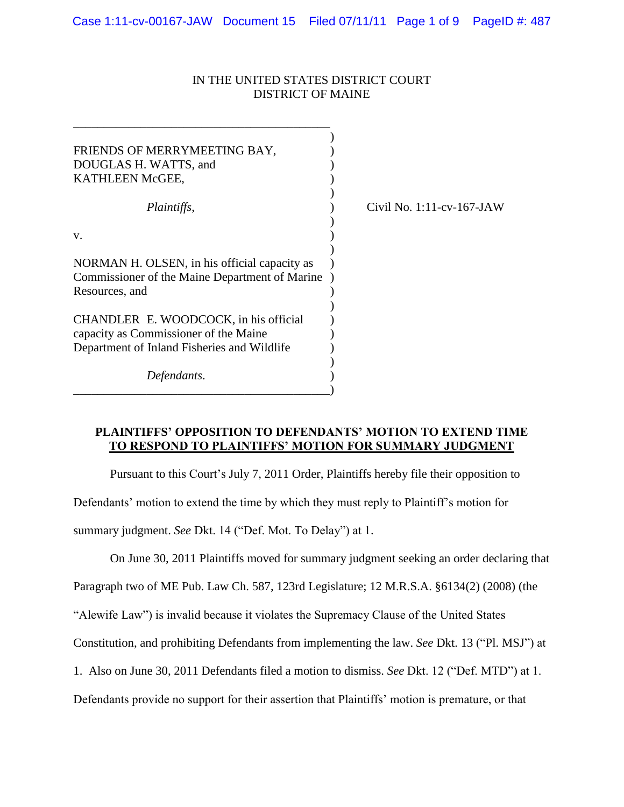## IN THE UNITED STATES DISTRICT COURT DISTRICT OF MAINE

| FRIENDS OF MERRYMEETING BAY,<br>DOUGLAS H. WATTS, and<br>KATHLEEN McGEE,                                                      |                    |
|-------------------------------------------------------------------------------------------------------------------------------|--------------------|
| <i>Plaintiffs,</i>                                                                                                            | Civil No. $1:11-c$ |
| V.                                                                                                                            |                    |
| NORMAN H. OLSEN, in his official capacity as<br>Commissioner of the Maine Department of Marine<br>Resources, and              |                    |
| CHANDLER E. WOODCOCK, in his official<br>capacity as Commissioner of the Maine<br>Department of Inland Fisheries and Wildlife |                    |
| Defendants.                                                                                                                   |                    |

*Plaintiffs*, ) Civil No. 1:11-cv-167-JAW

## **PLAINTIFFS' OPPOSITION TO DEFENDANTS' MOTION TO EXTEND TIME TO RESPOND TO PLAINTIFFS' MOTION FOR SUMMARY JUDGMENT**

Pursuant to this Court's July 7, 2011 Order, Plaintiffs hereby file their opposition to

Defendants' motion to extend the time by which they must reply to Plaintiff's motion for

summary judgment. *See* Dkt. 14 ("Def. Mot. To Delay") at 1.

On June 30, 2011 Plaintiffs moved for summary judgment seeking an order declaring that

Paragraph two of ME Pub. Law Ch. 587, 123rd Legislature; 12 M.R.S.A. §6134(2) (2008) (the

"Alewife Law") is invalid because it violates the Supremacy Clause of the United States

Constitution, and prohibiting Defendants from implementing the law. *See* Dkt. 13 ("Pl. MSJ") at

1. Also on June 30, 2011 Defendants filed a motion to dismiss. *See* Dkt. 12 ("Def. MTD") at 1.

Defendants provide no support for their assertion that Plaintiffs' motion is premature, or that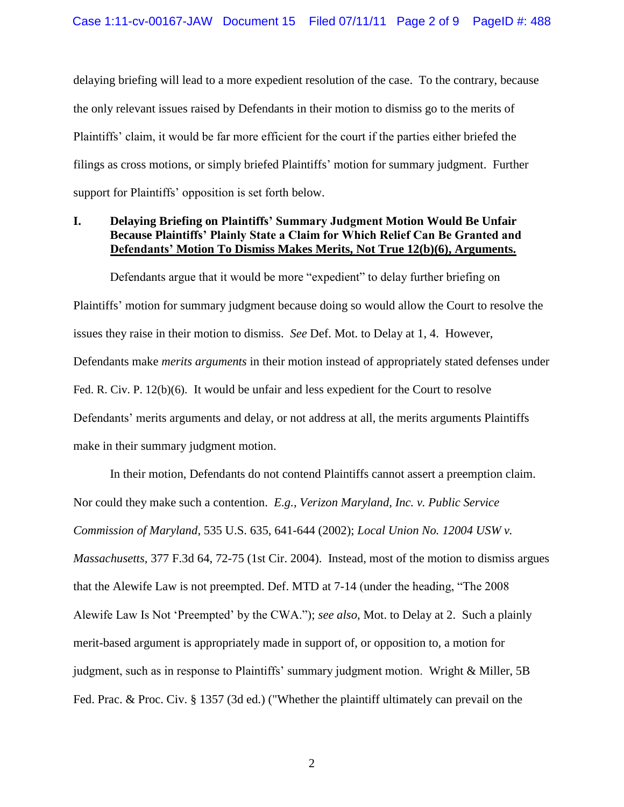delaying briefing will lead to a more expedient resolution of the case. To the contrary, because the only relevant issues raised by Defendants in their motion to dismiss go to the merits of Plaintiffs" claim, it would be far more efficient for the court if the parties either briefed the filings as cross motions, or simply briefed Plaintiffs' motion for summary judgment. Further support for Plaintiffs' opposition is set forth below.

## **I. Delaying Briefing on Plaintiffs' Summary Judgment Motion Would Be Unfair Because Plaintiffs' Plainly State a Claim for Which Relief Can Be Granted and Defendants' Motion To Dismiss Makes Merits, Not True 12(b)(6), Arguments.**

Defendants argue that it would be more "expedient" to delay further briefing on Plaintiffs" motion for summary judgment because doing so would allow the Court to resolve the issues they raise in their motion to dismiss. *See* Def. Mot. to Delay at 1, 4. However, Defendants make *merits arguments* in their motion instead of appropriately stated defenses under Fed. R. Civ. P. 12(b)(6). It would be unfair and less expedient for the Court to resolve Defendants' merits arguments and delay, or not address at all, the merits arguments Plaintiffs make in their summary judgment motion.

In their motion, Defendants do not contend Plaintiffs cannot assert a preemption claim. Nor could they make such a contention. *E.g., Verizon Maryland, Inc. v. Public Service Commission of Maryland,* 535 U.S. 635, 641-644 (2002); *Local Union No. 12004 USW v. Massachusetts,* 377 F.3d 64, 72-75 (1st Cir. 2004). Instead, most of the motion to dismiss argues that the Alewife Law is not preempted. Def. MTD at 7-14 (under the heading, "The 2008 Alewife Law Is Not "Preempted" by the CWA."); *see also,* Mot. to Delay at 2. Such a plainly merit-based argument is appropriately made in support of, or opposition to, a motion for judgment, such as in response to Plaintiffs" summary judgment motion. Wright & Miller, 5B Fed. Prac. & Proc. Civ. § 1357 (3d ed.) ("Whether the plaintiff ultimately can prevail on the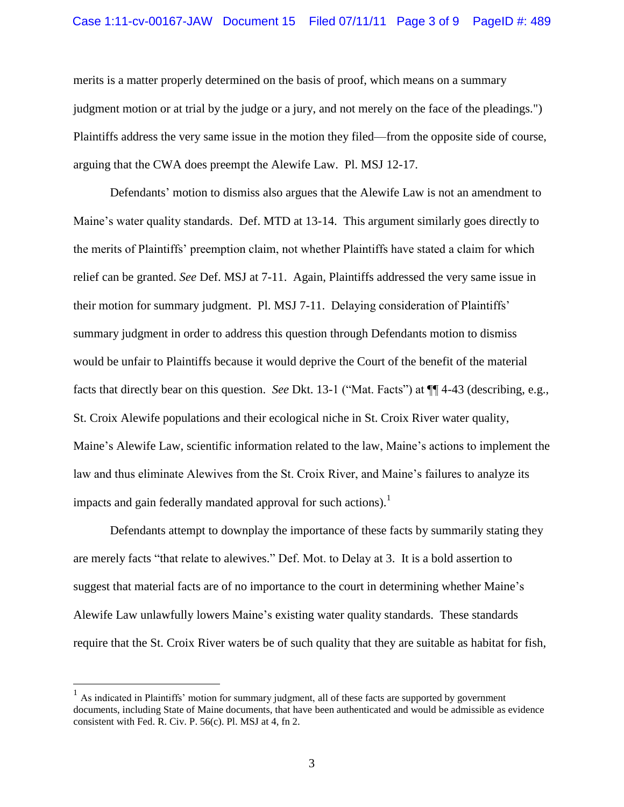#### Case 1:11-cv-00167-JAW Document 15 Filed 07/11/11 Page 3 of 9 PageID #: 489

merits is a matter properly determined on the basis of proof, which means on a summary judgment motion or at trial by the judge or a jury, and not merely on the face of the pleadings.") Plaintiffs address the very same issue in the motion they filed—from the opposite side of course, arguing that the CWA does preempt the Alewife Law. Pl. MSJ 12-17.

Defendants' motion to dismiss also argues that the Alewife Law is not an amendment to Maine"s water quality standards. Def. MTD at 13-14. This argument similarly goes directly to the merits of Plaintiffs" preemption claim, not whether Plaintiffs have stated a claim for which relief can be granted. *See* Def. MSJ at 7-11. Again, Plaintiffs addressed the very same issue in their motion for summary judgment. Pl. MSJ 7-11. Delaying consideration of Plaintiffs" summary judgment in order to address this question through Defendants motion to dismiss would be unfair to Plaintiffs because it would deprive the Court of the benefit of the material facts that directly bear on this question. *See* Dkt. 13-1 ("Mat. Facts") at ¶¶ 4-43 (describing, e.g., St. Croix Alewife populations and their ecological niche in St. Croix River water quality, Maine"s Alewife Law, scientific information related to the law, Maine"s actions to implement the law and thus eliminate Alewives from the St. Croix River, and Maine"s failures to analyze its impacts and gain federally mandated approval for such actions).<sup>1</sup>

Defendants attempt to downplay the importance of these facts by summarily stating they are merely facts "that relate to alewives." Def. Mot. to Delay at 3. It is a bold assertion to suggest that material facts are of no importance to the court in determining whether Maine"s Alewife Law unlawfully lowers Maine"s existing water quality standards. These standards require that the St. Croix River waters be of such quality that they are suitable as habitat for fish,

<sup>&</sup>lt;sup>1</sup> As indicated in Plaintiffs' motion for summary judgment, all of these facts are supported by government documents, including State of Maine documents, that have been authenticated and would be admissible as evidence consistent with Fed. R. Civ. P. 56(c). Pl. MSJ at 4, fn 2.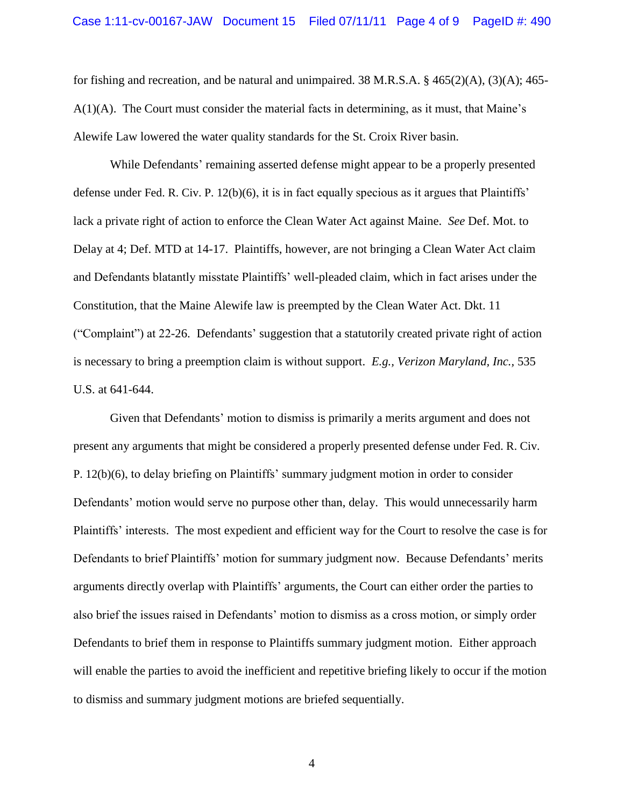for fishing and recreation, and be natural and unimpaired.  $38$  M.R.S.A.  $\frac{6}{5}$  465(2)(A), (3)(A); 465- $A(1)(A)$ . The Court must consider the material facts in determining, as it must, that Maine's Alewife Law lowered the water quality standards for the St. Croix River basin.

While Defendants' remaining asserted defense might appear to be a properly presented defense under Fed. R. Civ. P. 12(b)(6), it is in fact equally specious as it argues that Plaintiffs" lack a private right of action to enforce the Clean Water Act against Maine. *See* Def. Mot. to Delay at 4; Def. MTD at 14-17. Plaintiffs, however, are not bringing a Clean Water Act claim and Defendants blatantly misstate Plaintiffs' well-pleaded claim, which in fact arises under the Constitution, that the Maine Alewife law is preempted by the Clean Water Act. Dkt. 11 ("Complaint") at 22-26. Defendants" suggestion that a statutorily created private right of action is necessary to bring a preemption claim is without support. *E.g., Verizon Maryland, Inc.,* 535 U.S. at 641-644.

Given that Defendants' motion to dismiss is primarily a merits argument and does not present any arguments that might be considered a properly presented defense under Fed. R. Civ. P. 12(b)(6), to delay briefing on Plaintiffs" summary judgment motion in order to consider Defendants' motion would serve no purpose other than, delay. This would unnecessarily harm Plaintiffs" interests. The most expedient and efficient way for the Court to resolve the case is for Defendants to brief Plaintiffs' motion for summary judgment now. Because Defendants' merits arguments directly overlap with Plaintiffs" arguments, the Court can either order the parties to also brief the issues raised in Defendants" motion to dismiss as a cross motion, or simply order Defendants to brief them in response to Plaintiffs summary judgment motion. Either approach will enable the parties to avoid the inefficient and repetitive briefing likely to occur if the motion to dismiss and summary judgment motions are briefed sequentially.

4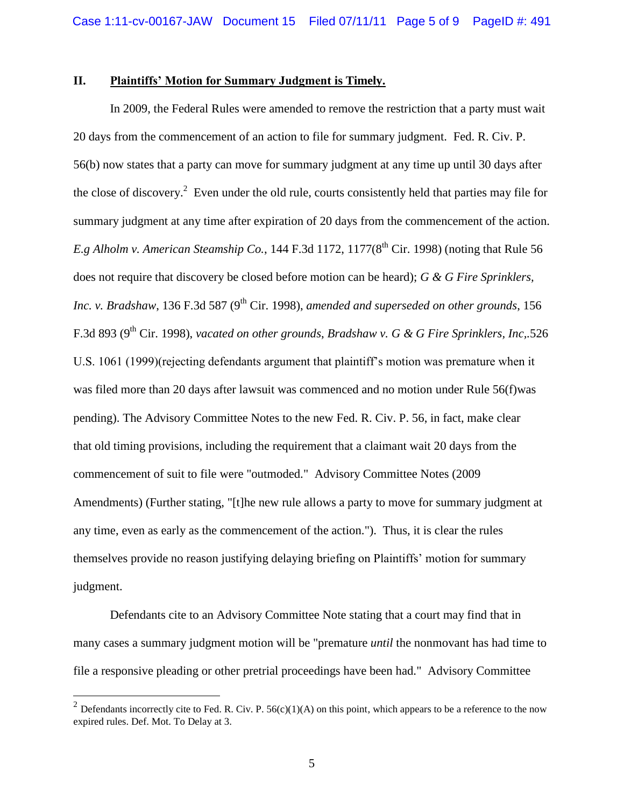#### **II. Plaintiffs' Motion for Summary Judgment is Timely.**

In 2009, the Federal Rules were amended to remove the restriction that a party must wait 20 days from the commencement of an action to file for summary judgment. Fed. R. Civ. P. 56(b) now states that a party can move for summary judgment at any time up until 30 days after the close of discovery.<sup>2</sup> Even under the old rule, courts consistently held that parties may file for summary judgment at any time after expiration of 20 days from the commencement of the action. *E.g Alholm v. American Steamship Co.*, 144 F.3d 1172, 1177( $8<sup>th</sup>$  Cir. 1998) (noting that Rule 56 does not require that discovery be closed before motion can be heard); *G & G Fire Sprinklers, Inc. v. Bradshaw*, 136 F.3d 587 (9<sup>th</sup> Cir. 1998), *amended and superseded on other grounds*, 156 F.3d 893 (9th Cir. 1998), *vacated on other grounds*, *Bradshaw v. G & G Fire Sprinklers, Inc,.*526 U.S. 1061 (1999)(rejecting defendants argument that plaintiff"s motion was premature when it was filed more than 20 days after lawsuit was commenced and no motion under Rule 56(f)was pending). The Advisory Committee Notes to the new Fed. R. Civ. P. 56, in fact, make clear that old timing provisions, including the requirement that a claimant wait 20 days from the commencement of suit to file were "outmoded." Advisory Committee Notes (2009 Amendments) (Further stating, "[t]he new rule allows a party to move for summary judgment at any time, even as early as the commencement of the action."). Thus, it is clear the rules themselves provide no reason justifying delaying briefing on Plaintiffs" motion for summary judgment.

Defendants cite to an Advisory Committee Note stating that a court may find that in many cases a summary judgment motion will be "premature *until* the nonmovant has had time to file a responsive pleading or other pretrial proceedings have been had." Advisory Committee

<sup>&</sup>lt;sup>2</sup> Defendants incorrectly cite to Fed. R. Civ. P. 56(c)(1)(A) on this point, which appears to be a reference to the now expired rules. Def. Mot. To Delay at 3.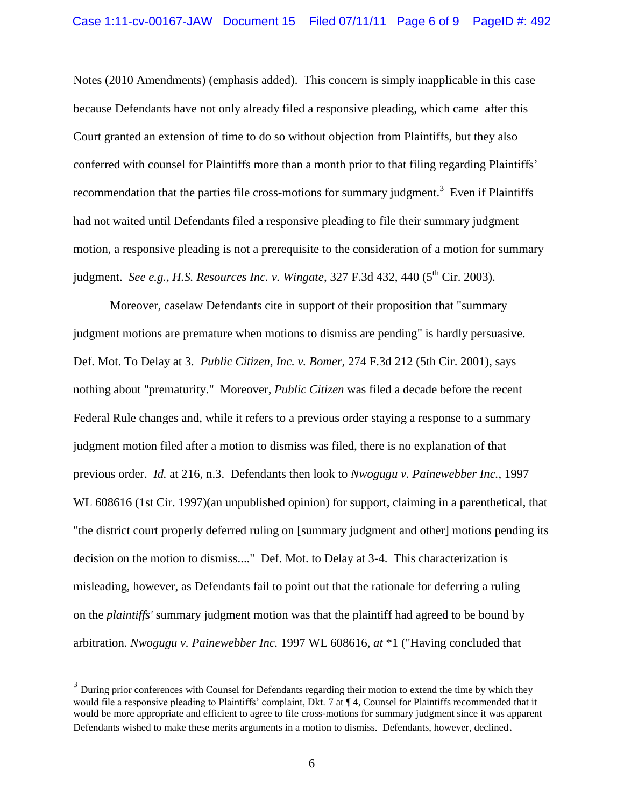Notes (2010 Amendments) (emphasis added). This concern is simply inapplicable in this case because Defendants have not only already filed a responsive pleading, which came after this Court granted an extension of time to do so without objection from Plaintiffs, but they also conferred with counsel for Plaintiffs more than a month prior to that filing regarding Plaintiffs" recommendation that the parties file cross-motions for summary judgment.<sup>3</sup> Even if Plaintiffs had not waited until Defendants filed a responsive pleading to file their summary judgment motion, a responsive pleading is not a prerequisite to the consideration of a motion for summary judgment. *See e.g., H.S. Resources Inc. v. Wingate*, 327 F.3d 432, 440 (5<sup>th</sup> Cir. 2003).

Moreover, caselaw Defendants cite in support of their proposition that "summary judgment motions are premature when motions to dismiss are pending" is hardly persuasive. Def. Mot. To Delay at 3. *Public Citizen, Inc. v. Bomer,* 274 F.3d 212 (5th Cir. 2001), says nothing about "prematurity." Moreover, *Public Citizen* was filed a decade before the recent Federal Rule changes and, while it refers to a previous order staying a response to a summary judgment motion filed after a motion to dismiss was filed, there is no explanation of that previous order. *Id.* at 216, n.3. Defendants then look to *Nwogugu v. Painewebber Inc.*, 1997 WL 608616 (1st Cir. 1997)(an unpublished opinion) for support, claiming in a parenthetical, that "the district court properly deferred ruling on [summary judgment and other] motions pending its decision on the motion to dismiss...." Def. Mot. to Delay at 3-4. This characterization is misleading, however, as Defendants fail to point out that the rationale for deferring a ruling on the *plaintiffs'* summary judgment motion was that the plaintiff had agreed to be bound by arbitration. *Nwogugu v. Painewebber Inc.* 1997 WL 608616*, at* \*1 ("Having concluded that

 $\overline{a}$ 

 $3$  During prior conferences with Counsel for Defendants regarding their motion to extend the time by which they would file a responsive pleading to Plaintiffs" complaint, Dkt. 7 at ¶ 4, Counsel for Plaintiffs recommended that it would be more appropriate and efficient to agree to file cross-motions for summary judgment since it was apparent Defendants wished to make these merits arguments in a motion to dismiss. Defendants, however, declined.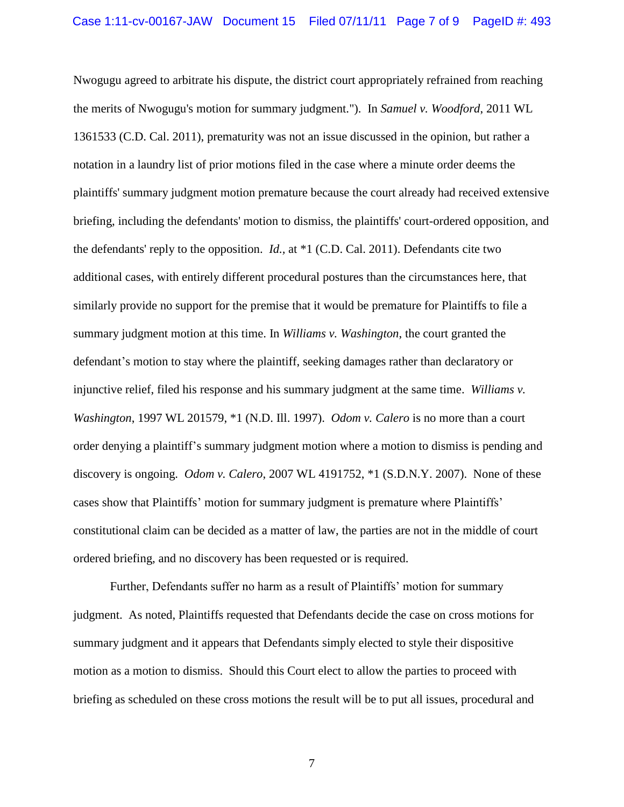Nwogugu agreed to arbitrate his dispute, the district court appropriately refrained from reaching the merits of Nwogugu's motion for summary judgment."). In *Samuel v. Woodford*, 2011 WL 1361533 (C.D. Cal. 2011), prematurity was not an issue discussed in the opinion, but rather a notation in a laundry list of prior motions filed in the case where a minute order deems the plaintiffs' summary judgment motion premature because the court already had received extensive briefing, including the defendants' motion to dismiss, the plaintiffs' court-ordered opposition, and the defendants' reply to the opposition. *Id.,* at \*1 (C.D. Cal. 2011). Defendants cite two additional cases, with entirely different procedural postures than the circumstances here, that similarly provide no support for the premise that it would be premature for Plaintiffs to file a summary judgment motion at this time. In *Williams v. Washington*, the court granted the defendant's motion to stay where the plaintiff, seeking damages rather than declaratory or injunctive relief, filed his response and his summary judgment at the same time. *Williams v. Washington*, 1997 WL 201579, \*1 (N.D. Ill. 1997). *Odom v. Calero* is no more than a court order denying a plaintiff"s summary judgment motion where a motion to dismiss is pending and discovery is ongoing. *Odom v. Calero*, 2007 WL 4191752, \*1 (S.D.N.Y. 2007). None of these cases show that Plaintiffs' motion for summary judgment is premature where Plaintiffs' constitutional claim can be decided as a matter of law, the parties are not in the middle of court ordered briefing, and no discovery has been requested or is required.

Further, Defendants suffer no harm as a result of Plaintiffs" motion for summary judgment. As noted, Plaintiffs requested that Defendants decide the case on cross motions for summary judgment and it appears that Defendants simply elected to style their dispositive motion as a motion to dismiss. Should this Court elect to allow the parties to proceed with briefing as scheduled on these cross motions the result will be to put all issues, procedural and

7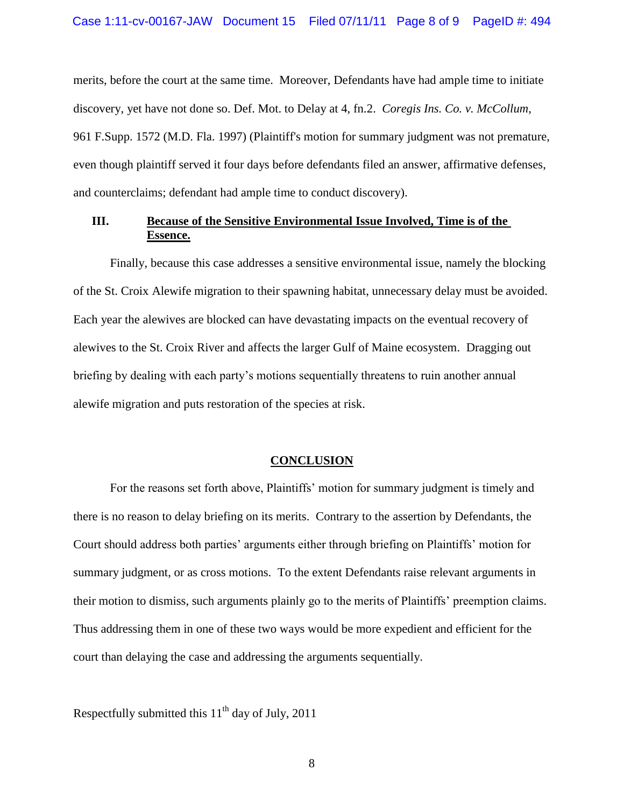merits, before the court at the same time. Moreover, Defendants have had ample time to initiate discovery, yet have not done so. Def. Mot. to Delay at 4, fn.2. *[Coregis Ins. Co. v. McCollum](https://owa.earthjustice.org/owa/redir.aspx?C=9e9c1d91da0442daa66c53c7c9b7e921&URL=https%3a%2f%2fa.next.westlaw.com%2fLink%2fDocument%2fFullText%3ffindType%3dY%26serNum%3d1997094055%26pubNum%3d0000345%26originationContext%3ddocument%26transitionType%3dDocumentItem%26contextData%3d(sc.Category))*, [961 F.Supp. 1572](https://owa.earthjustice.org/owa/redir.aspx?C=9e9c1d91da0442daa66c53c7c9b7e921&URL=https%3a%2f%2fa.next.westlaw.com%2fLink%2fDocument%2fFullText%3ffindType%3dY%26serNum%3d1997094055%26pubNum%3d0000345%26originationContext%3ddocument%26transitionType%3dDocumentItem%26contextData%3d(sc.Category)) (M.D. Fla. 1997) (Plaintiff's motion for summary judgment was not premature, even though plaintiff served it four days before defendants filed an answer, affirmative defenses, and counterclaims; defendant had ample time to conduct discovery).

#### **III. Because of the Sensitive Environmental Issue Involved, Time is of the Essence.**

Finally, because this case addresses a sensitive environmental issue, namely the blocking of the St. Croix Alewife migration to their spawning habitat, unnecessary delay must be avoided. Each year the alewives are blocked can have devastating impacts on the eventual recovery of alewives to the St. Croix River and affects the larger Gulf of Maine ecosystem. Dragging out briefing by dealing with each party"s motions sequentially threatens to ruin another annual alewife migration and puts restoration of the species at risk.

### **CONCLUSION**

For the reasons set forth above, Plaintiffs' motion for summary judgment is timely and there is no reason to delay briefing on its merits.Contrary to the assertion by Defendants, the Court should address both parties" arguments either through briefing on Plaintiffs" motion for summary judgment, or as cross motions. To the extent Defendants raise relevant arguments in their motion to dismiss, such arguments plainly go to the merits of Plaintiffs" preemption claims. Thus addressing them in one of these two ways would be more expedient and efficient for the court than delaying the case and addressing the arguments sequentially.

Respectfully submitted this  $11<sup>th</sup>$  day of July, 2011

8